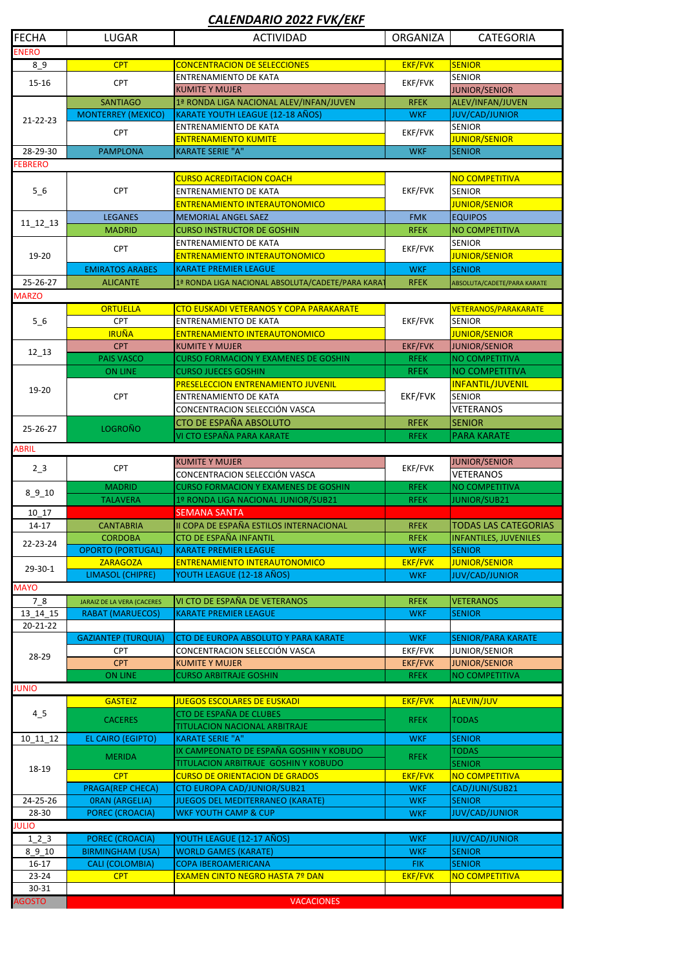| <b>FECHA</b>                                                                             | <b>LUGAR</b>                         | <b>ACTIVIDAD</b>                                                             | <b>ORGANIZA</b> | <b>CATEGORIA</b>                   |  |  |  |
|------------------------------------------------------------------------------------------|--------------------------------------|------------------------------------------------------------------------------|-----------------|------------------------------------|--|--|--|
| <b>ENERO</b>                                                                             |                                      |                                                                              |                 |                                    |  |  |  |
| EKF/FVK<br><b>SENIOR</b><br><b>CPT</b><br><b>CONCENTRACION DE SELECCIONES</b><br>$8 - 9$ |                                      |                                                                              |                 |                                    |  |  |  |
| $15 - 16$                                                                                | <b>CPT</b>                           | <b>ENTRENAMIENTO DE KATA</b>                                                 |                 | <b>SENIOR</b>                      |  |  |  |
|                                                                                          |                                      | <b>KUMITE Y MUJER</b>                                                        | EKF/FVK         | <b>JUNIOR/SENIOR</b>               |  |  |  |
|                                                                                          | <b>SANTIAGO</b>                      | 1ª RONDA LIGA NACIONAL ALEV/INFAN/JUVEN                                      | <b>RFEK</b>     | ALEV/INFAN/JUVEN                   |  |  |  |
| 21-22-23                                                                                 | <b>MONTERREY (MEXICO)</b>            | KARATE YOUTH LEAGUE (12-18 AÑOS)                                             | <b>WKF</b>      | <b>JUV/CAD/JUNIOR</b>              |  |  |  |
|                                                                                          | <b>CPT</b>                           | <b>ENTRENAMIENTO DE KATA</b>                                                 | EKF/FVK         | <b>SENIOR</b>                      |  |  |  |
|                                                                                          |                                      | <b>ENTRENAMIENTO KUMITE</b>                                                  |                 | <b>JUNIOR/SENIOR</b>               |  |  |  |
| 28-29-30                                                                                 | <b>PAMPLONA</b>                      | <b>KARATE SERIE "A"</b>                                                      | <b>WKF</b>      | <b>SENIOR</b>                      |  |  |  |
| <b>FEBRERO</b>                                                                           |                                      |                                                                              |                 |                                    |  |  |  |
|                                                                                          | <b>CPT</b>                           | <b>CURSO ACREDITACION COACH</b>                                              | EKF/FVK         | NO COMPETITIVA                     |  |  |  |
| $5-6$                                                                                    |                                      | <b>ENTRENAMIENTO DE KATA</b>                                                 |                 | <b>SENIOR</b>                      |  |  |  |
|                                                                                          |                                      | <b>ENTRENAMIENTO INTERAUTONOMICO</b>                                         |                 | JUNIOR/SENIOR                      |  |  |  |
| $11_12_13$                                                                               | <b>LEGANES</b>                       | <b>MEMORIAL ANGEL SAEZ</b>                                                   | <b>FMK</b>      | <b>EQUIPOS</b>                     |  |  |  |
|                                                                                          | <b>MADRID</b>                        | <b>CURSO INSTRUCTOR DE GOSHIN</b>                                            | <b>RFEK</b>     | <b>NO COMPETITIVA</b>              |  |  |  |
|                                                                                          | <b>CPT</b>                           | <b>ENTRENAMIENTO DE KATA</b>                                                 | EKF/FVK         | <b>SENIOR</b>                      |  |  |  |
| 19-20                                                                                    |                                      | ENTRENAMIENTO INTERAUTONOMICO                                                |                 | JUNIOR/SENIOR                      |  |  |  |
|                                                                                          | <b>EMIRATOS ARABES</b>               | <b>KARATE PREMIER LEAGUE</b>                                                 | <b>WKF</b>      | <b>SENIOR</b>                      |  |  |  |
| 25-26-27                                                                                 | <b>ALICANTE</b>                      | 1ª RONDA LIGA NACIONAL ABSOLUTA/CADETE/PARA KARAT                            | <b>RFEK</b>     | ABSOLUTA/CADETE/PARA KARATE        |  |  |  |
| <b>MARZO</b>                                                                             |                                      |                                                                              |                 |                                    |  |  |  |
|                                                                                          | <b>ORTUELLA</b>                      | CTO EUSKADI VETERANOS Y COPA PARAKARATE                                      | EKF/FVK         | VETERANOS/PARAKARATE               |  |  |  |
| 56                                                                                       | <b>CPT</b>                           | <b>ENTRENAMIENTO DE KATA</b>                                                 |                 | <b>SENIOR</b>                      |  |  |  |
|                                                                                          | <b>IRUÑA</b>                         | ENTRENAMIENTO INTERAUTONOMICO                                                |                 | JUNIOR/SENIOR                      |  |  |  |
| $12 - 13$                                                                                | <b>CPT</b>                           | <b>KUMITE Y MUJER</b>                                                        | EKF/FVK         | <b>JUNIOR/SENIOR</b>               |  |  |  |
|                                                                                          | <b>PAIS VASCO</b>                    | <b>CURSO FORMACION Y EXAMENES DE GOSHIN</b>                                  | <b>RFEK</b>     | NO COMPETITIVA                     |  |  |  |
|                                                                                          | <b>ON LINE</b>                       | <b>CURSO JUECES GOSHIN</b>                                                   | <b>RFEK</b>     | NO COMPETITIVA                     |  |  |  |
| 19-20                                                                                    |                                      | PRESELECCION ENTRENAMIENTO JUVENIL                                           | EKF/FVK         | <b>INFANTIL/JUVENIL</b><br>SENIOR  |  |  |  |
|                                                                                          | <b>CPT</b>                           | <b>ENTRENAMIENTO DE KATA</b><br>CONCENTRACION SELECCIÓN VASCA                |                 | <b>VETERANOS</b>                   |  |  |  |
|                                                                                          |                                      | <b>CTO DE ESPAÑA ABSOLUTO</b>                                                | <b>RFEK</b>     | <b>SENIOR</b>                      |  |  |  |
| 25-26-27                                                                                 | <b>LOGROÑO</b>                       | VI CTO ESPAÑA PARA KARATE                                                    | <b>RFEK</b>     | <b>PARA KARATE</b>                 |  |  |  |
| <b>ABRIL</b>                                                                             |                                      |                                                                              |                 |                                    |  |  |  |
|                                                                                          |                                      | <b>KUMITE Y MUJER</b>                                                        |                 | JUNIOR/SENIOR                      |  |  |  |
| $2-3$                                                                                    | <b>CPT</b>                           |                                                                              | EKF/FVK         |                                    |  |  |  |
|                                                                                          |                                      |                                                                              |                 |                                    |  |  |  |
|                                                                                          | <b>MADRID</b>                        | CONCENTRACION SELECCIÓN VASCA<br><b>CURSO FORMACION Y EXAMENES DE GOSHIN</b> | <b>RFEK</b>     | <b>VETERANOS</b><br>NO COMPETITIVA |  |  |  |
| $8_{910}$                                                                                | <b>TALAVERA</b>                      | 1º RONDA LIGA NACIONAL JUNIOR/SUB21                                          | <b>RFEK</b>     | <b>JUNIOR/SUB21</b>                |  |  |  |
| 10 17                                                                                    |                                      | <b>SEMANA SANTA</b>                                                          |                 |                                    |  |  |  |
| $14-17$                                                                                  | <b>CANTABRIA</b>                     | II COPA DE ESPAÑA ESTILOS INTERNACIONAL                                      | <b>RFEK</b>     | <b>TODAS LAS CATEGORIAS</b>        |  |  |  |
|                                                                                          | <b>CORDOBA</b>                       | <b>CTO DE ESPAÑA INFANTIL</b>                                                | <b>RFEK</b>     | <b>INFANTILES, JUVENILES</b>       |  |  |  |
| 22-23-24                                                                                 | <b>OPORTO (PORTUGAL)</b>             | <b>KARATE PREMIER LEAGUE</b>                                                 | <b>WKF</b>      | <b>SENIOR</b>                      |  |  |  |
|                                                                                          | <b>ZARAGOZA</b>                      | ENTRENAMIENTO INTERAUTONOMICO                                                | <b>EKF/FVK</b>  | JUNIOR/SENIOR                      |  |  |  |
| $29 - 30 - 1$                                                                            | <b>LIMASOL (CHIPRE)</b>              | YOUTH LEAGUE (12-18 AÑOS)                                                    | <b>WKF</b>      | <b>JUV/CAD/JUNIOR</b>              |  |  |  |
| <b>MAYO</b>                                                                              |                                      |                                                                              |                 |                                    |  |  |  |
| 78                                                                                       | <b>JARAIZ DE LA VERA (CACERES</b>    | VI CTO DE ESPAÑA DE VETERANOS                                                | <b>RFEK</b>     | <b>VETERANOS</b>                   |  |  |  |
| 13 14 15                                                                                 | <b>RABAT (MARUECOS)</b>              | <b>KARATE PREMIER LEAGUE</b>                                                 | <b>WKF</b>      | <b>SENIOR</b>                      |  |  |  |
| 20-21-22                                                                                 |                                      |                                                                              |                 |                                    |  |  |  |
|                                                                                          | <b>GAZIANTEP (TURQUIA)</b>           | CTO DE EUROPA ABSOLUTO Y PARA KARATE                                         | <b>WKF</b>      | <b>SENIOR/PARA KARATE</b>          |  |  |  |
| 28-29                                                                                    | <b>CPT</b>                           | CONCENTRACION SELECCIÓN VASCA                                                | EKF/FVK         | <b>JUNIOR/SENIOR</b>               |  |  |  |
|                                                                                          | <b>CPT</b>                           | <b>KUMITE Y MUJER</b>                                                        | EKF/FVK         | <b>JUNIOR/SENIOR</b>               |  |  |  |
| <b>JUNIO</b>                                                                             | <b>ON LINE</b>                       | <b>CURSO ARBITRAJE GOSHIN</b>                                                | <b>RFEK</b>     | NO COMPETITIVA                     |  |  |  |
|                                                                                          |                                      | <b>JUEGOS ESCOLARES DE EUSKADI</b>                                           |                 |                                    |  |  |  |
|                                                                                          | <b>GASTEIZ</b>                       | <b>CTO DE ESPAÑA DE CLUBES</b>                                               | <b>EKF/FVK</b>  | <b>ALEVIN/JUV</b>                  |  |  |  |
| $4-5$                                                                                    | <b>CACERES</b>                       | TITULACION NACIONAL ARBITRAJE                                                | <b>RFEK</b>     | <b>TODAS</b>                       |  |  |  |
| 10 11 12                                                                                 | <b>EL CAIRO (EGIPTO)</b>             | <b>KARATE SERIE "A"</b>                                                      | <b>WKF</b>      | <b>SENIOR</b>                      |  |  |  |
|                                                                                          |                                      | IX CAMPEONATO DE ESPAÑA GOSHIN Y KOBUDO                                      |                 | <b>TODAS</b>                       |  |  |  |
|                                                                                          | <b>MERIDA</b>                        | TITULACION ARBITRAJE GOSHIN Y KOBUDO                                         | <b>RFEK</b>     | <b>SENIOR</b>                      |  |  |  |
| 18-19                                                                                    | <b>CPT</b>                           | <b>CURSO DE ORIENTACION DE GRADOS</b>                                        | <b>EKF/FVK</b>  | NO COMPETITIVA                     |  |  |  |
|                                                                                          | <b>PRAGA(REP CHECA)</b>              | <b>CTO EUROPA CAD/JUNIOR/SUB21</b>                                           | <b>WKF</b>      | CAD/JUNI/SUB21                     |  |  |  |
| 24-25-26                                                                                 | <b>ORAN (ARGELIA)</b>                | <b>JUEGOS DEL MEDITERRANEO (KARATE)</b>                                      | <b>WKF</b>      | <b>SENIOR</b>                      |  |  |  |
| 28-30                                                                                    | POREC (CROACIA)                      | <b>WKF YOUTH CAMP &amp; CUP</b>                                              | <b>WKF</b>      | <b>JUV/CAD/JUNIOR</b>              |  |  |  |
| <b>JULIO</b>                                                                             |                                      |                                                                              |                 |                                    |  |  |  |
| $1-2$ 3                                                                                  | <b>POREC (CROACIA)</b>               | YOUTH LEAGUE (12-17 AÑOS)                                                    | <b>WKF</b>      | <b>JUV/CAD/JUNIOR</b>              |  |  |  |
| $8_{910}$                                                                                | <b>BIRMINGHAM (USA)</b>              | <b>WORLD GAMES (KARATE)</b>                                                  | <b>WKF</b>      | <b>SENIOR</b>                      |  |  |  |
| $16-17$                                                                                  | <b>CALI (COLOMBIA)</b><br><b>CPT</b> | <b>COPA IBEROAMERICANA</b>                                                   | <b>FIK</b>      | <b>SENIOR</b>                      |  |  |  |
| $23 - 24$<br>30-31                                                                       |                                      | <b>EXAMEN CINTO NEGRO HASTA 7º DAN</b>                                       | <b>EKF/FVK</b>  | NO COMPETITIVA                     |  |  |  |

## *CALENDARIO 2022 FVK/EKF*